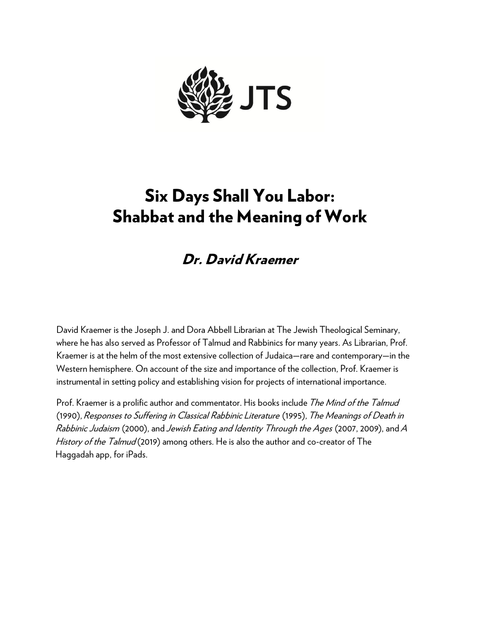

# Six Days Shall You Labor: Shabbat and the Meaning of Work

# Dr. David Kraemer

David Kraemer is the Joseph J. and Dora Abbell Librarian at The Jewish Theological Seminary, where he has also served as Professor of Talmud and Rabbinics for many years. As Librarian, Prof. Kraemer is at the helm of the most extensive collection of Judaica—rare and contemporary—in the Western hemisphere. On account of the size and importance of the collection, Prof. Kraemer is instrumental in setting policy and establishing vision for projects of international importance.

Prof. Kraemer is a prolific author and commentator. His books include The Mind of the Talmud (1990), Responses to Suffering in Classical Rabbinic Literature (1995), The Meanings of Death in Rabbinic Judaism (2000), and Jewish Eating and Identity Through the Ages (2007, 2009), and A History of the Talmud (2019) among others. He is also the author and co-creator of The Haggadah app, for iPads.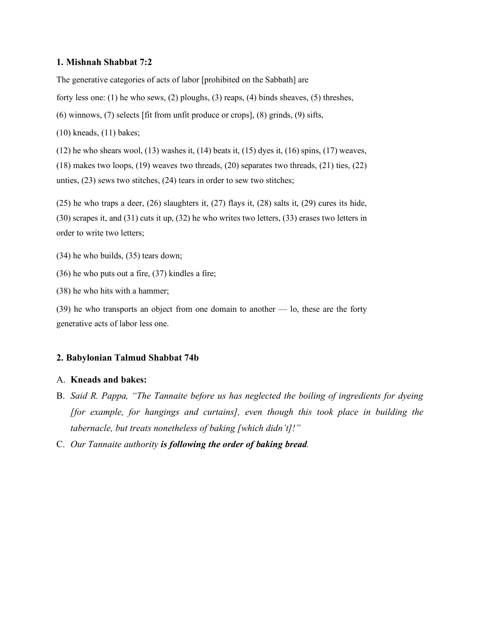#### **1. Mishnah Shabbat 7:2**

The generative categories of acts of labor [prohibited on the Sabbath] are

forty less one: (1) he who sews, (2) ploughs, (3) reaps, (4) binds sheaves, (5) threshes,

(6) winnows, (7) selects [fit from unfit produce or crops], (8) grinds, (9) sifts,

(10) kneads, (11) bakes;

 $(12)$  he who shears wool,  $(13)$  washes it,  $(14)$  beats it,  $(15)$  dyes it,  $(16)$  spins,  $(17)$  weaves, (18) makes two loops, (19) weaves two threads, (20) separates two threads, (21) ties, (22) unties, (23) sews two stitches, (24) tears in order to sew two stitches;

(25) he who traps a deer, (26) slaughters it, (27) flays it, (28) salts it, (29) cures its hide, (30) scrapes it, and (31) cuts it up, (32) he who writes two letters, (33) erases two letters in order to write two letters;

(34) he who builds, (35) tears down;

(36) he who puts out a fire, (37) kindles a fire;

(38) he who hits with a hammer;

(39) he who transports an object from one domain to another — lo, these are the forty generative acts of labor less one.

#### **2. Babylonian Talmud Shabbat 74b**

#### A. **Kneads and bakes:**

- B. *Said R. Pappa, "The Tannaite before us has neglected the boiling of ingredients for dyeing [for example, for hangings and curtains], even though this took place in building the tabernacle, but treats nonetheless of baking [which didn't]!"*
- C. *Our Tannaite authority is following the order of baking bread.*